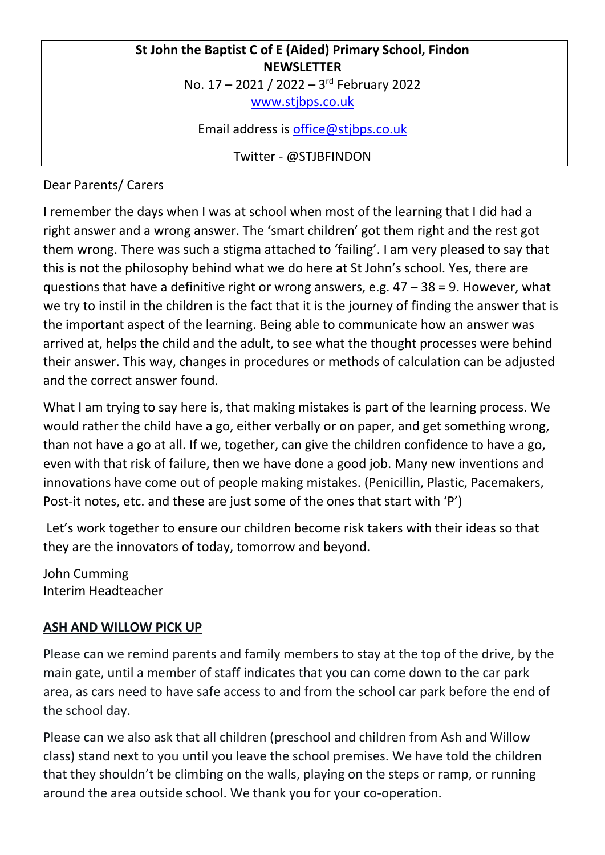# **St John the Baptist C of E (Aided) Primary School, Findon NEWSLETTER** No. 17 - 2021 / 2022 - 3rd February 2022 [www.stjbps.co.uk](http://www.stjbps.co.uk/) Email address is [office@stjbps.co.uk](mailto:office@stjbps.co.uk) Twitter - @STJBFINDON

Dear Parents/ Carers

I remember the days when I was at school when most of the learning that I did had a right answer and a wrong answer. The 'smart children' got them right and the rest got them wrong. There was such a stigma attached to 'failing'. I am very pleased to say that this is not the philosophy behind what we do here at St John's school. Yes, there are questions that have a definitive right or wrong answers, e.g.  $47 - 38 = 9$ . However, what we try to instil in the children is the fact that it is the journey of finding the answer that is the important aspect of the learning. Being able to communicate how an answer was arrived at, helps the child and the adult, to see what the thought processes were behind their answer. This way, changes in procedures or methods of calculation can be adjusted and the correct answer found.

What I am trying to say here is, that making mistakes is part of the learning process. We would rather the child have a go, either verbally or on paper, and get something wrong, than not have a go at all. If we, together, can give the children confidence to have a go, even with that risk of failure, then we have done a good job. Many new inventions and innovations have come out of people making mistakes. (Penicillin, Plastic, Pacemakers, Post-it notes, etc. and these are just some of the ones that start with 'P')

Let's work together to ensure our children become risk takers with their ideas so that they are the innovators of today, tomorrow and beyond.

John Cumming Interim Headteacher

## **ASH AND WILLOW PICK UP**

Please can we remind parents and family members to stay at the top of the drive, by the main gate, until a member of staff indicates that you can come down to the car park area, as cars need to have safe access to and from the school car park before the end of the school day.

Please can we also ask that all children (preschool and children from Ash and Willow class) stand next to you until you leave the school premises. We have told the children that they shouldn't be climbing on the walls, playing on the steps or ramp, or running around the area outside school. We thank you for your co-operation.